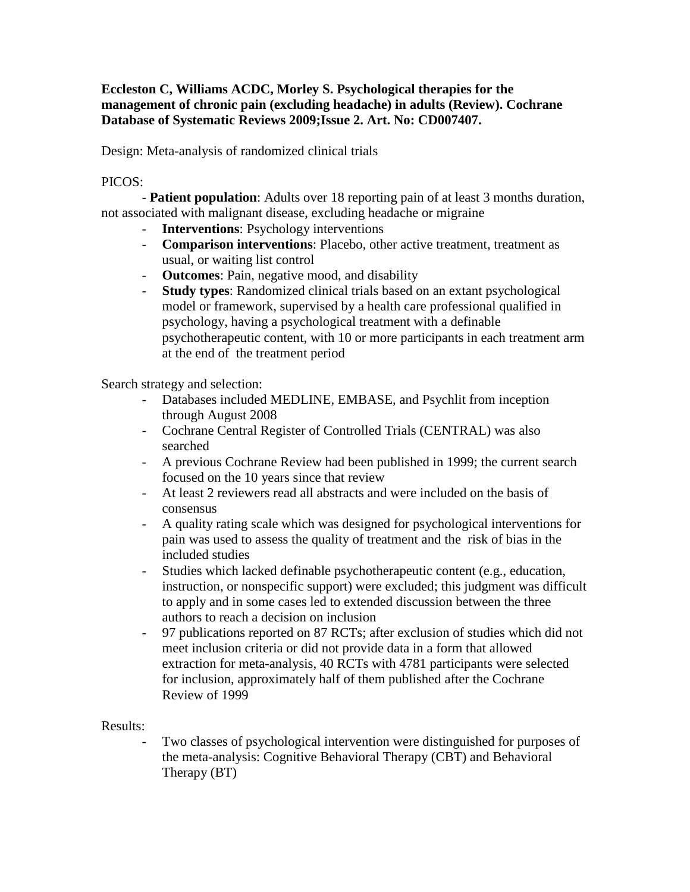## **Eccleston C, Williams ACDC, Morley S. Psychological therapies for the management of chronic pain (excluding headache) in adults (Review). Cochrane Database of Systematic Reviews 2009;Issue 2. Art. No: CD007407.**

Design: Meta-analysis of randomized clinical trials

## PICOS:

- **Patient population**: Adults over 18 reporting pain of at least 3 months duration, not associated with malignant disease, excluding headache or migraine

- **Interventions**: Psychology interventions
- **Comparison interventions**: Placebo, other active treatment, treatment as usual, or waiting list control
- **Outcomes**: Pain, negative mood, and disability
- **Study types**: Randomized clinical trials based on an extant psychological model or framework, supervised by a health care professional qualified in psychology, having a psychological treatment with a definable psychotherapeutic content, with 10 or more participants in each treatment arm at the end of the treatment period

Search strategy and selection:

- Databases included MEDLINE, EMBASE, and Psychlit from inception through August 2008
- Cochrane Central Register of Controlled Trials (CENTRAL) was also searched
- A previous Cochrane Review had been published in 1999; the current search focused on the 10 years since that review
- At least 2 reviewers read all abstracts and were included on the basis of consensus
- A quality rating scale which was designed for psychological interventions for pain was used to assess the quality of treatment and the risk of bias in the included studies
- Studies which lacked definable psychotherapeutic content (e.g., education, instruction, or nonspecific support) were excluded; this judgment was difficult to apply and in some cases led to extended discussion between the three authors to reach a decision on inclusion
- 97 publications reported on 87 RCTs; after exclusion of studies which did not meet inclusion criteria or did not provide data in a form that allowed extraction for meta-analysis, 40 RCTs with 4781 participants were selected for inclusion, approximately half of them published after the Cochrane Review of 1999

## Results:

Two classes of psychological intervention were distinguished for purposes of the meta-analysis: Cognitive Behavioral Therapy (CBT) and Behavioral Therapy (BT)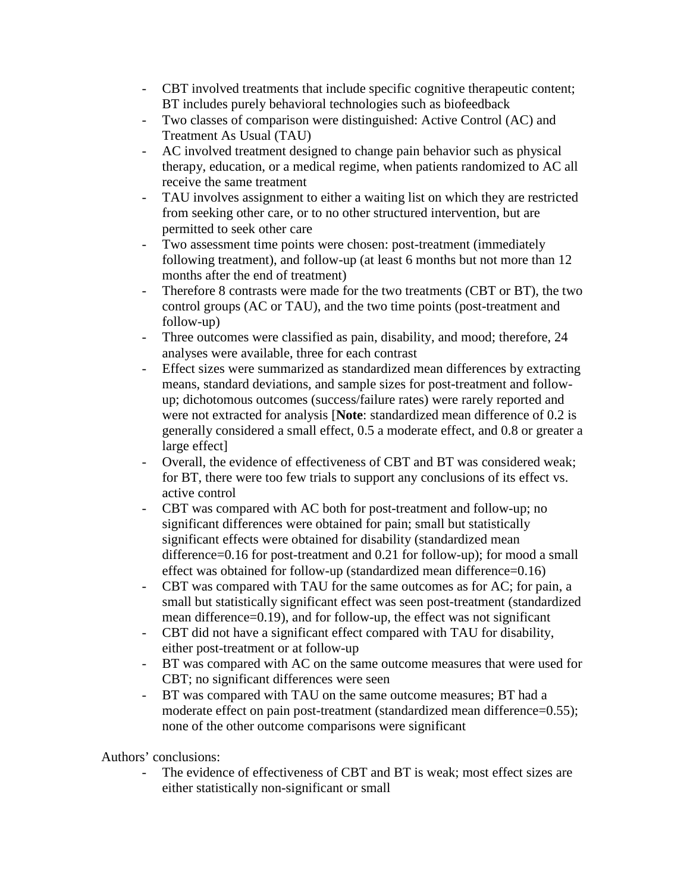- CBT involved treatments that include specific cognitive therapeutic content; BT includes purely behavioral technologies such as biofeedback
- Two classes of comparison were distinguished: Active Control (AC) and Treatment As Usual (TAU)
- AC involved treatment designed to change pain behavior such as physical therapy, education, or a medical regime, when patients randomized to AC all receive the same treatment
- TAU involves assignment to either a waiting list on which they are restricted from seeking other care, or to no other structured intervention, but are permitted to seek other care
- Two assessment time points were chosen: post-treatment (immediately following treatment), and follow-up (at least 6 months but not more than 12 months after the end of treatment)
- Therefore 8 contrasts were made for the two treatments (CBT or BT), the two control groups (AC or TAU), and the two time points (post-treatment and follow-up)
- Three outcomes were classified as pain, disability, and mood; therefore, 24 analyses were available, three for each contrast
- Effect sizes were summarized as standardized mean differences by extracting means, standard deviations, and sample sizes for post-treatment and followup; dichotomous outcomes (success/failure rates) were rarely reported and were not extracted for analysis [**Note**: standardized mean difference of 0.2 is generally considered a small effect, 0.5 a moderate effect, and 0.8 or greater a large effect]
- Overall, the evidence of effectiveness of CBT and BT was considered weak; for BT, there were too few trials to support any conclusions of its effect vs. active control
- CBT was compared with AC both for post-treatment and follow-up; no significant differences were obtained for pain; small but statistically significant effects were obtained for disability (standardized mean difference=0.16 for post-treatment and 0.21 for follow-up); for mood a small effect was obtained for follow-up (standardized mean difference=0.16)
- CBT was compared with TAU for the same outcomes as for AC; for pain, a small but statistically significant effect was seen post-treatment (standardized mean difference=0.19), and for follow-up, the effect was not significant
- CBT did not have a significant effect compared with TAU for disability, either post-treatment or at follow-up
- BT was compared with AC on the same outcome measures that were used for CBT; no significant differences were seen
- BT was compared with TAU on the same outcome measures; BT had a moderate effect on pain post-treatment (standardized mean difference=0.55); none of the other outcome comparisons were significant

Authors' conclusions:

The evidence of effectiveness of CBT and BT is weak; most effect sizes are either statistically non-significant or small